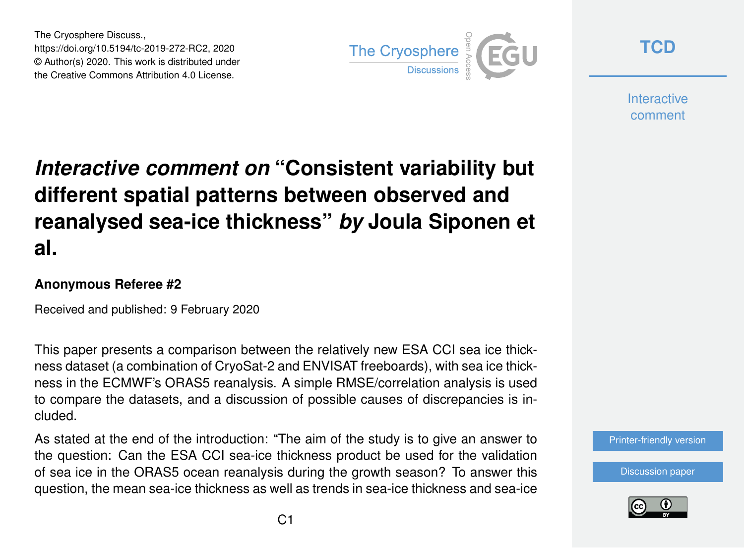The Cryosphere Discuss., https://doi.org/10.5194/tc-2019-272-RC2, 2020 © Author(s) 2020. This work is distributed under the Creative Commons Attribution 4.0 License.



**[TCD](https://www.the-cryosphere-discuss.net/)**

**Interactive** comment

## *Interactive comment on* **"Consistent variability but different spatial patterns between observed and reanalysed sea-ice thickness"** *by* **Joula Siponen et al.**

## **Anonymous Referee #2**

Received and published: 9 February 2020

This paper presents a comparison between the relatively new ESA CCI sea ice thickness dataset (a combination of CryoSat-2 and ENVISAT freeboards), with sea ice thickness in the ECMWF's ORAS5 reanalysis. A simple RMSE/correlation analysis is used to compare the datasets, and a discussion of possible causes of discrepancies is included.

As stated at the end of the introduction: "The aim of the study is to give an answer to the question: Can the ESA CCI sea-ice thickness product be used for the validation of sea ice in the ORAS5 ocean reanalysis during the growth season? To answer this question, the mean sea-ice thickness as well as trends in sea-ice thickness and sea-ice



[Discussion paper](https://www.the-cryosphere-discuss.net/tc-2019-272)

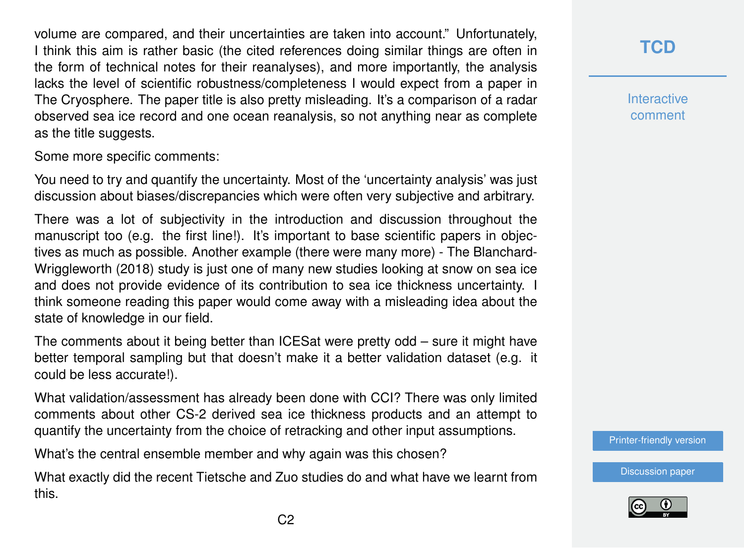volume are compared, and their uncertainties are taken into account." Unfortunately, I think this aim is rather basic (the cited references doing similar things are often in the form of technical notes for their reanalyses), and more importantly, the analysis lacks the level of scientific robustness/completeness I would expect from a paper in The Cryosphere. The paper title is also pretty misleading. It's a comparison of a radar observed sea ice record and one ocean reanalysis, so not anything near as complete as the title suggests.

Some more specific comments:

You need to try and quantify the uncertainty. Most of the 'uncertainty analysis' was just discussion about biases/discrepancies which were often very subjective and arbitrary.

There was a lot of subjectivity in the introduction and discussion throughout the manuscript too (e.g. the first line!). It's important to base scientific papers in objectives as much as possible. Another example (there were many more) - The Blanchard-Wriggleworth (2018) study is just one of many new studies looking at snow on sea ice and does not provide evidence of its contribution to sea ice thickness uncertainty. I think someone reading this paper would come away with a misleading idea about the state of knowledge in our field.

The comments about it being better than ICESat were pretty odd – sure it might have better temporal sampling but that doesn't make it a better validation dataset (e.g. it could be less accurate!).

What validation/assessment has already been done with CCI? There was only limited comments about other CS-2 derived sea ice thickness products and an attempt to quantify the uncertainty from the choice of retracking and other input assumptions.

What's the central ensemble member and why again was this chosen?

What exactly did the recent Tietsche and Zuo studies do and what have we learnt from this.

**[TCD](https://www.the-cryosphere-discuss.net/)**

**Interactive** comment

[Printer-friendly version](https://www.the-cryosphere-discuss.net/tc-2019-272/tc-2019-272-RC2-print.pdf)

[Discussion paper](https://www.the-cryosphere-discuss.net/tc-2019-272)